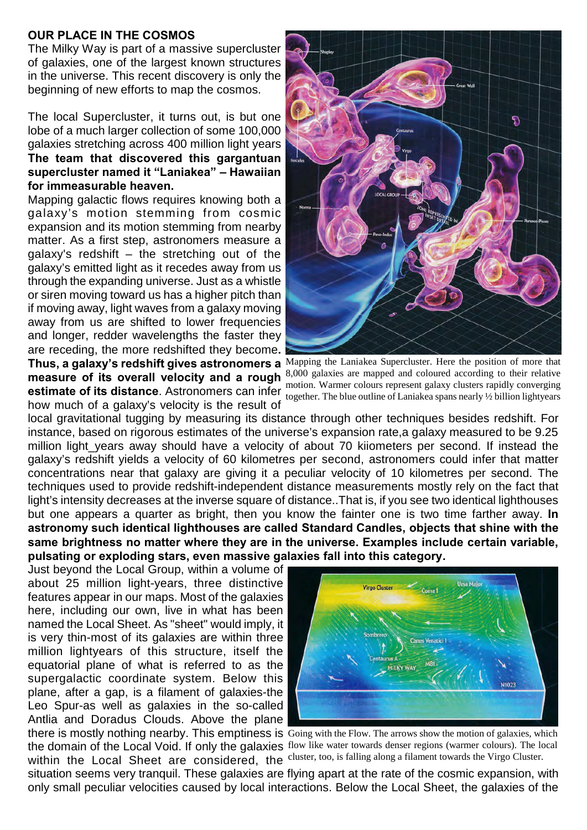## **OUR PLACE IN THE COSMOS**

The Milky Way is part of a massive supercluster of galaxies, one of the largest known structures in the universe. This recent discovery is only the beginning of new efforts to map the cosmos.

The local Supercluster, it turns out, is but one lobe of a much larger collection of some 100,000 galaxies stretching across 400 million light years **The team that discovered this gargantuan supercluster named it "Laniakea" – Hawaiian for immeasurable heaven.**

Mapping galactic flows requires knowing both a galaxy's motion stemming from cosmic expansion and its motion stemming from nearby matter. As a first step, astronomers measure a galaxy's redshift – the stretching out of the galaxy's emitted light as it recedes away from us through the expanding universe. Just as a whistle or siren moving toward us has a higher pitch than if moving away, light waves from a galaxy moving away from us are shifted to lower frequencies and longer, redder wavelengths the faster they are receding, the more redshifted they become**.**

how much of a galaxy's velocity is the result of

อ

**Thus, a galaxy's redshift gives astronomers a** Mapping the Laniakea Supercluster. Here the position of more that **measure of its overall velocity and a rough** 8,000 galaxies are mapped and coloured according to their relative motion. Warmer colours represent galaxy clusters rapidly converging **estimate of its distance**. Astronomers can infer model. When the blue outline of Laniakea spans nearly <sup>1</sup>/2 billion lightyears

local gravitational tugging by measuring its distance through other techniques besides redshift. For instance, based on rigorous estimates of the universe's expansion rate,a galaxy measured to be 9.25 million light\_years away should have a velocity of about 70 kiiometers per second. If instead the galaxy's redshift yields a velocity of 60 kilometres per second, astronomers could infer that matter concentrations near that galaxy are giving it a peculiar velocity of 10 kilometres per second. The techniques used to provide redshift-independent distance measurements mostly rely on the fact that light's intensity decreases at the inverse square of distance..That is, if you see two identical lighthouses but one appears a quarter as bright, then you know the fainter one is two time farther away. **In astronomy such identical lighthouses are called Standard Candles, objects that shine with the same brightness no matter where they are in the universe. Examples include certain variable, pulsating or exploding stars, even massive galaxies fall into this category.** 

Just beyond the Local Group, within a volume of about 25 million light-years, three distinctive features appear in our maps. Most of the galaxies here, including our own, live in what has been named the Local Sheet. As "sheet" would imply, it is very thin-most of its galaxies are within three million lightyears of this structure, itself the equatorial plane of what is referred to as the supergalactic coordinate system. Below this plane, after a gap, is a filament of galaxies-the Leo Spur-as well as galaxies in the so-called Antlia and Doradus Clouds. Above the plane

within the Local Sheet are considered, the cluster, too, is falling along a filament towards the Virgo Cluster.



there is mostly nothing nearby. This emptiness is Going with the Flow. The arrows show the motion of galaxies, which the domain of the Local Void. If only the galaxies flow like water towards denser regions (warmer colours). The local

situation seems very tranquil. These galaxies are flying apart at the rate of the cosmic expansion, with only small peculiar velocities caused by local interactions. Below the Local Sheet, the galaxies of the